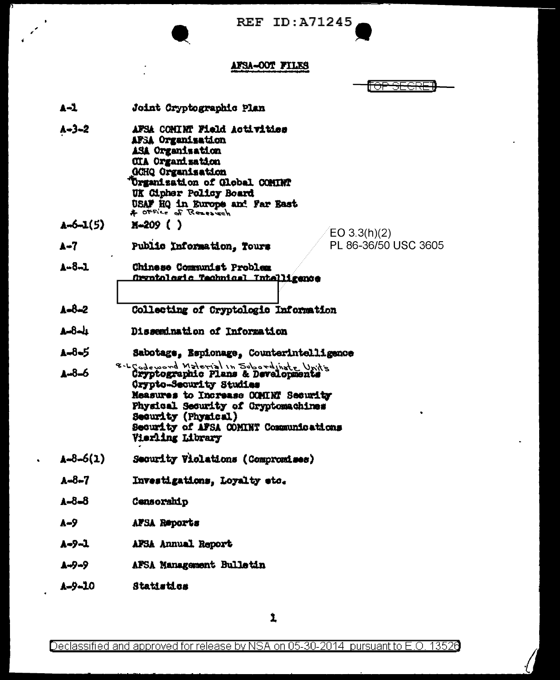REF  $ID: A71245$ 

## **AFSA-OOT FILES**

╒

- $\blacktriangle 1$ Joint Cryptographic Plan  $A - 3 - 2$ AFSA CONTRT Field Activities AFSA Organisation ASA Organization **CIA Organisation GCHQ Organization Urganization of Global COMINT** UK Cipher Policy Board USAF HQ in Europe and Far East  $A - 6 - 1(5)$  $M=209$  ( )  $EO 3.3(h)(2)$ PL 86-36/50 USC 3605  $A - 7$ Public Information. Tours A-8-1 Chinese Communist Problem Orgatologic Technical Intelligence  $A = 8 - 2$ Collecting of Cryptologic Information  $A - 8 - h$ Dissemination of Information A-8-5 Sabotage, Espionage, Counterintelligence 8. LCodeword Material in Subordinate Units<br>Cryptographic Plans & Developments A-8-6 Orypto-Security Studies Measures to Increase COMINT Security Physical Security of Cryptomachines Security (Physical) Security of AFSA COMINT Communications **Vierling Library**  $A = 8 - 6(1)$ Security Violations (Compromises)  $A = 8 - 7$ Investigations, Loyalty etc.  $A - 8 - 8$ Censorship A-9 AFSA Reports A-9-1 AFSA Annual Report AFSA Management Bulletin 1-9-9
- A-9-10 Statistics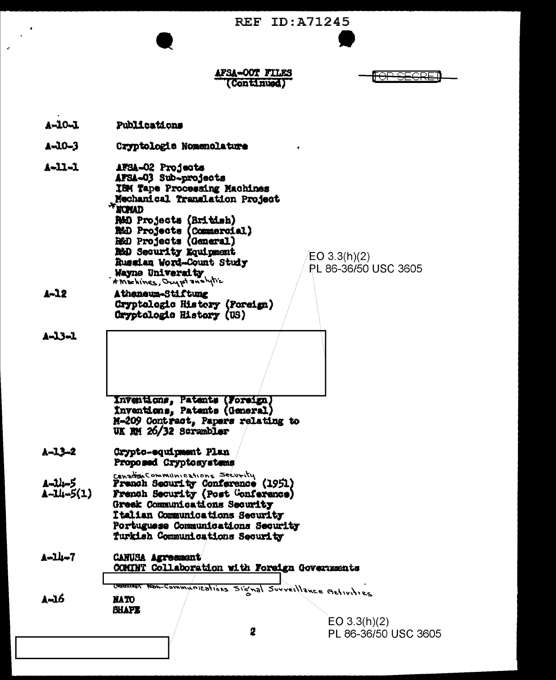**REF ID: A71245** 

AFSA-OOT FILES (Continued)

<del>OP SEGRE</del>

 $A - 10 - 1$ Publications A-10-3 Cryptologie Nomenolature  $A = 11 - 1$ AFSA-02 Projects AFSA-03 Sub-projects IBM Tane Processing Machines Mechanical Translation Project **HOMAD RMO Projects (British) NAD Projects (Commercial)**<br>R&D Projects (General) **B&D Security Equipment** EO  $3.3(h)(2)$ Russian Word-Count Study PL 86-36/50 USC 3605 Wayne University \* Mochines, Ony pt analytic  $1 - 12$ Atheneum-Stiftung Cryptologic History (Foreign) Cryptologic History (US) A-13-1 Inventions, Patents (Foreign) Inventions, Patents (General) M-209 Contract, Papers relating to UK MM 26/32 Scrambler  $A - 13 - 2$ Crypto-equipment Plan Proposed Cryptosystems Canadian Communications Security (1951) 1-14-5  $A - 14 - 5(1)$ French Security (Post Conference) Greek Communications Security Italian Communications Security Portuguese Communications Security Turkish Communications Security A-14-7 **CANUSA Agreement** COMUNT Collaboration with Foreign Governments vinications Signal Surveillance Activities **CONTRACT** A-16 **NATO BHAPE**  $EO 3.3(h)(2)$ 2 PL 86-36/50 USC 3605